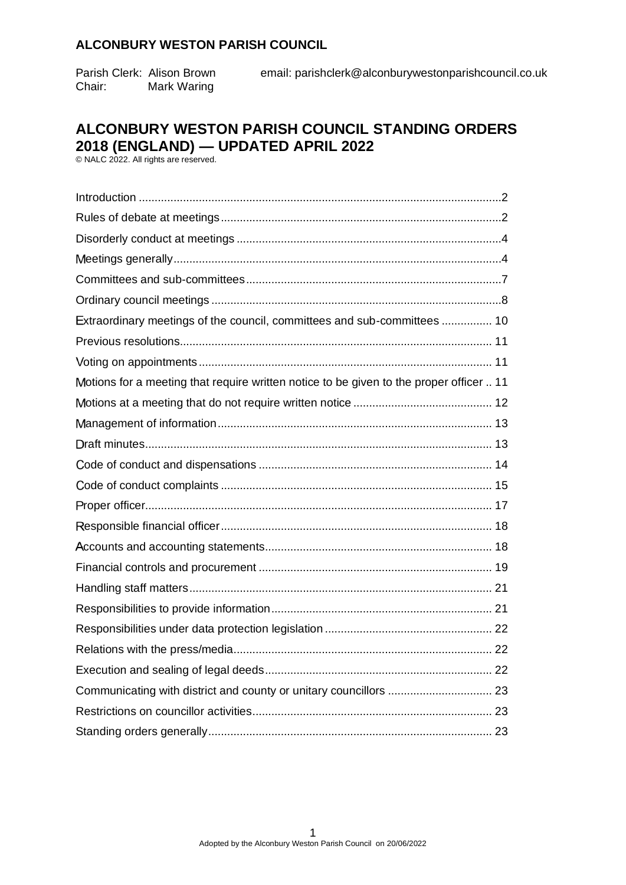Chair: Mark Waring

Parish Clerk: Alison Brown email: parishclerk@alconburywestonparishcouncil.co.uk

## **ALCONBURY WESTON PARISH COUNCIL STANDING ORDERS 2018 (ENGLAND) — UPDATED APRIL 2022**

© NALC 2022. All rights are reserved.

<span id="page-0-0"></span>

| Extraordinary meetings of the council, committees and sub-committees  10                |  |
|-----------------------------------------------------------------------------------------|--|
|                                                                                         |  |
|                                                                                         |  |
| Motions for a meeting that require written notice to be given to the proper officer  11 |  |
|                                                                                         |  |
|                                                                                         |  |
|                                                                                         |  |
|                                                                                         |  |
|                                                                                         |  |
|                                                                                         |  |
|                                                                                         |  |
|                                                                                         |  |
|                                                                                         |  |
|                                                                                         |  |
|                                                                                         |  |
|                                                                                         |  |
|                                                                                         |  |
|                                                                                         |  |
|                                                                                         |  |
|                                                                                         |  |
|                                                                                         |  |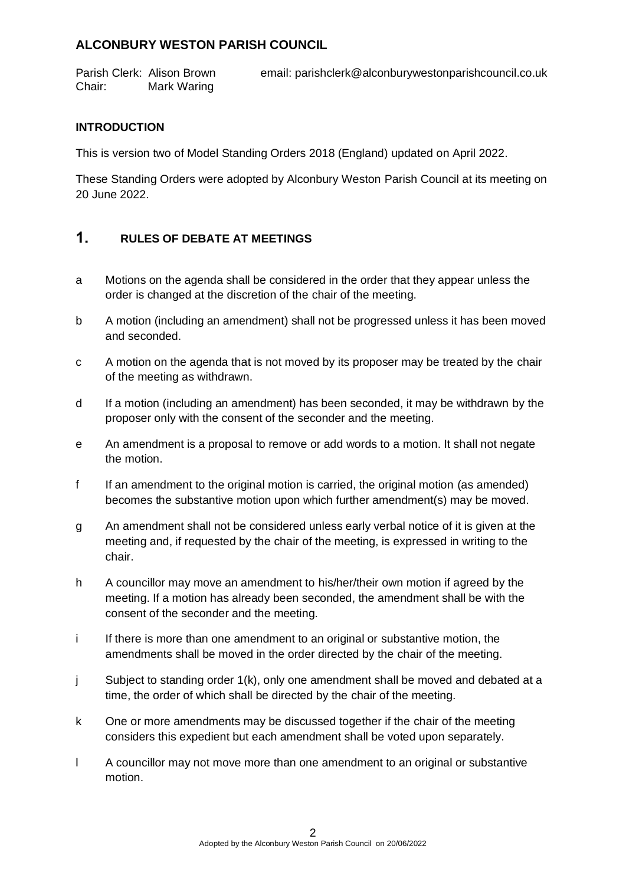Parish Clerk: Alison Brown email: parishclerk@alconburywestonparishcouncil.co.uk Chair: Mark Waring

### **INTRODUCTION**

This is version two of Model Standing Orders 2018 (England) updated on April 2022.

These Standing Orders were adopted by Alconbury Weston Parish Council at its meeting on 20 June 2022.

#### <span id="page-1-0"></span> $1<sub>1</sub>$ **RULES OF DEBATE AT MEETINGS**

- a Motions on the agenda shall be considered in the order that they appear unless the order is changed at the discretion of the chair of the meeting.
- b A motion (including an amendment) shall not be progressed unless it has been moved and seconded.
- c A motion on the agenda that is not moved by its proposer may be treated by the chair of the meeting as withdrawn.
- d If a motion (including an amendment) has been seconded, it may be withdrawn by the proposer only with the consent of the seconder and the meeting.
- e An amendment is a proposal to remove or add words to a motion. It shall not negate the motion.
- f If an amendment to the original motion is carried, the original motion (as amended) becomes the substantive motion upon which further amendment(s) may be moved.
- g An amendment shall not be considered unless early verbal notice of it is given at the meeting and, if requested by the chair of the meeting, is expressed in writing to the chair.
- h A councillor may move an amendment to his/her/their own motion if agreed by the meeting. If a motion has already been seconded, the amendment shall be with the consent of the seconder and the meeting.
- i If there is more than one amendment to an original or substantive motion, the amendments shall be moved in the order directed by the chair of the meeting.
- j Subject to standing order 1(k), only one amendment shall be moved and debated at a time, the order of which shall be directed by the chair of the meeting.
- k One or more amendments may be discussed together if the chair of the meeting considers this expedient but each amendment shall be voted upon separately.
- l A councillor may not move more than one amendment to an original or substantive motion.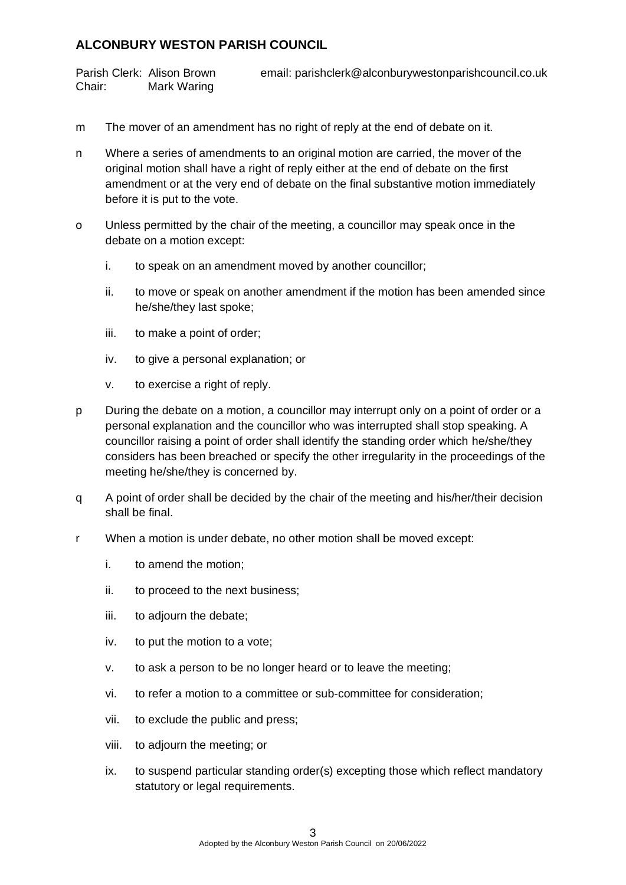Chair: Mark Waring

Parish Clerk: Alison Brown email: parishclerk@alconburywestonparishcouncil.co.uk

- m The mover of an amendment has no right of reply at the end of debate on it.
- n Where a series of amendments to an original motion are carried, the mover of the original motion shall have a right of reply either at the end of debate on the first amendment or at the very end of debate on the final substantive motion immediately before it is put to the vote.
- o Unless permitted by the chair of the meeting, a councillor may speak once in the debate on a motion except:
	- i. to speak on an amendment moved by another councillor;
	- ii. to move or speak on another amendment if the motion has been amended since he/she/they last spoke;
	- iii. to make a point of order;
	- iv. to give a personal explanation; or
	- v. to exercise a right of reply.
- p During the debate on a motion, a councillor may interrupt only on a point of order or a personal explanation and the councillor who was interrupted shall stop speaking. A councillor raising a point of order shall identify the standing order which he/she/they considers has been breached or specify the other irregularity in the proceedings of the meeting he/she/they is concerned by.
- q A point of order shall be decided by the chair of the meeting and his/her/their decision shall be final.
- r When a motion is under debate, no other motion shall be moved except:
	- i. to amend the motion;
	- ii. to proceed to the next business;
	- iii. to adjourn the debate;
	- iv. to put the motion to a vote;
	- v. to ask a person to be no longer heard or to leave the meeting;
	- vi. to refer a motion to a committee or sub-committee for consideration;
	- vii. to exclude the public and press;
	- viii. to adjourn the meeting; or
	- ix. to suspend particular standing order(s) excepting those which reflect mandatory statutory or legal requirements.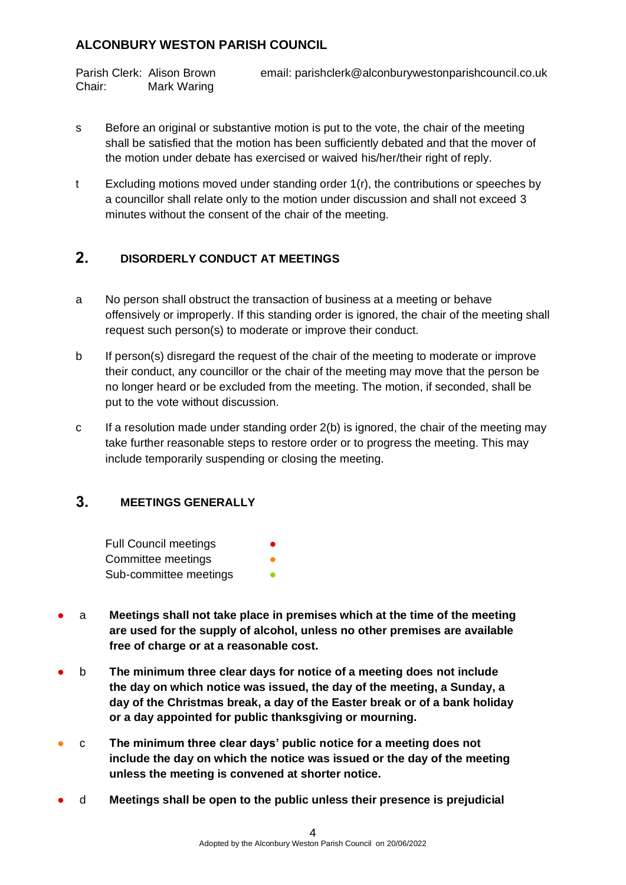Chair: Mark Waring

Parish Clerk: Alison Brown email: parishclerk@alconburywestonparishcouncil.co.uk

- s Before an original or substantive motion is put to the vote, the chair of the meeting shall be satisfied that the motion has been sufficiently debated and that the mover of the motion under debate has exercised or waived his/her/their right of reply.
- t Excluding motions moved under standing order 1(r), the contributions or speeches by a councillor shall relate only to the motion under discussion and shall not exceed 3 minutes without the consent of the chair of the meeting.

#### <span id="page-3-0"></span> $2.$ **DISORDERLY CONDUCT AT MEETINGS**

- a No person shall obstruct the transaction of business at a meeting or behave offensively or improperly. If this standing order is ignored, the chair of the meeting shall request such person(s) to moderate or improve their conduct.
- b If person(s) disregard the request of the chair of the meeting to moderate or improve their conduct, any councillor or the chair of the meeting may move that the person be no longer heard or be excluded from the meeting. The motion, if seconded, shall be put to the vote without discussion.
- c If a resolution made under standing order  $2(b)$  is ignored, the chair of the meeting may take further reasonable steps to restore order or to progress the meeting. This may include temporarily suspending or closing the meeting.

#### <span id="page-3-1"></span> $3<sub>1</sub>$ **MEETINGS GENERALLY**

| <b>Full Council meetings</b> | $\bullet$ |
|------------------------------|-----------|
| Committee meetings           | O         |
| Sub-committee meetings       | ●         |

- a **Meetings shall not take place in premises which at the time of the meeting are used for the supply of alcohol, unless no other premises are available free of charge or at a reasonable cost.**
- b **The minimum three clear days for notice of a meeting does not include the day on which notice was issued, the day of the meeting, a Sunday, a day of the Christmas break, a day of the Easter break or of a bank holiday or a day appointed for public thanksgiving or mourning.**
- c **The minimum three clear days' public notice for a meeting does not include the day on which the notice was issued or the day of the meeting unless the meeting is convened at shorter notice.**
- d **Meetings shall be open to the public unless their presence is prejudicial**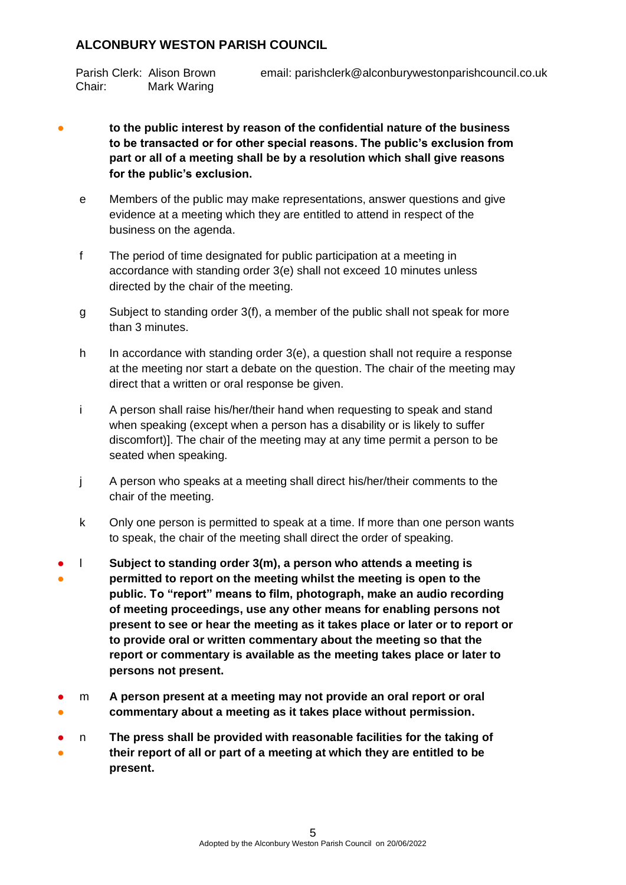Chair: Mark Waring

# Parish Clerk: Alison Brown email: parishclerk@alconburywestonparishcouncil.co.uk

- to the public interest by reason of the confidential nature of the business **to be transacted or for other special reasons. The public's exclusion from part or all of a meeting shall be by a resolution which shall give reasons for the public's exclusion.**
	- e Members of the public may make representations, answer questions and give evidence at a meeting which they are entitled to attend in respect of the business on the agenda.
	- f The period of time designated for public participation at a meeting in accordance with standing order 3(e) shall not exceed 10 minutes unless directed by the chair of the meeting.
	- g Subject to standing order 3(f), a member of the public shall not speak for more than 3 minutes.
	- h In accordance with standing order 3(e), a question shall not require a response at the meeting nor start a debate on the question. The chair of the meeting may direct that a written or oral response be given.
	- i A person shall raise his/her/their hand when requesting to speak and stand when speaking (except when a person has a disability or is likely to suffer discomfort)]. The chair of the meeting may at any time permit a person to be seated when speaking.
	- j A person who speaks at a meeting shall direct his/her/their comments to the chair of the meeting.
	- k Only one person is permitted to speak at a time. If more than one person wants to speak, the chair of the meeting shall direct the order of speaking.
- ● l **Subject to standing order 3(m), a person who attends a meeting is permitted to report on the meeting whilst the meeting is open to the public. To "report" means to film, photograph, make an audio recording of meeting proceedings, use any other means for enabling persons not present to see or hear the meeting as it takes place or later or to report or to provide oral or written commentary about the meeting so that the report or commentary is available as the meeting takes place or later to persons not present.**
- ● m **A person present at a meeting may not provide an oral report or oral commentary about a meeting as it takes place without permission.**
- ● n **The press shall be provided with reasonable facilities for the taking of their report of all or part of a meeting at which they are entitled to be present.**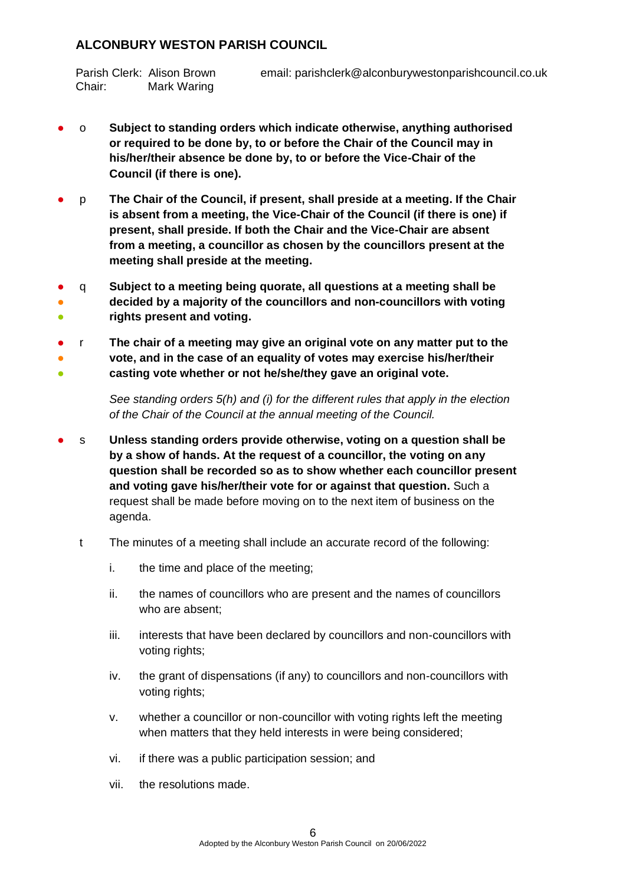Chair: Mark Waring

# Parish Clerk: Alison Brown email: parishclerk@alconburywestonparishcouncil.co.uk

- o **Subject to standing orders which indicate otherwise, anything authorised or required to be done by, to or before the Chair of the Council may in his/her/their absence be done by, to or before the Vice-Chair of the Council (if there is one).**
- p **The Chair of the Council, if present, shall preside at a meeting. If the Chair is absent from a meeting, the Vice-Chair of the Council (if there is one) if present, shall preside. If both the Chair and the Vice-Chair are absent from a meeting, a councillor as chosen by the councillors present at the meeting shall preside at the meeting.**
- ● 。<br>● q **Subject to a meeting being quorate, all questions at a meeting shall be decided by a majority of the councillors and non-councillors with voting rights present and voting.**
- 。<br>一 ● ● r **The chair of a meeting may give an original vote on any matter put to the vote, and in the case of an equality of votes may exercise his/her/their casting vote whether or not he/she/they gave an original vote.**

*See standing orders 5(h) and (i) for the different rules that apply in the election of the Chair of the Council at the annual meeting of the Council.*

- s Unless standing orders provide otherwise, voting on a question shall be **by a show of hands. At the request of a councillor, the voting on any question shall be recorded so as to show whether each councillor present and voting gave his/her/their vote for or against that question.** Such a request shall be made before moving on to the next item of business on the agenda.
	- t The minutes of a meeting shall include an accurate record of the following:
		- i. the time and place of the meeting;
		- ii. the names of councillors who are present and the names of councillors who are absent;
		- iii. interests that have been declared by councillors and non-councillors with voting rights:
		- iv. the grant of dispensations (if any) to councillors and non-councillors with voting rights;
		- v. whether a councillor or non-councillor with voting rights left the meeting when matters that they held interests in were being considered;
		- vi. if there was a public participation session; and
		- vii. the resolutions made.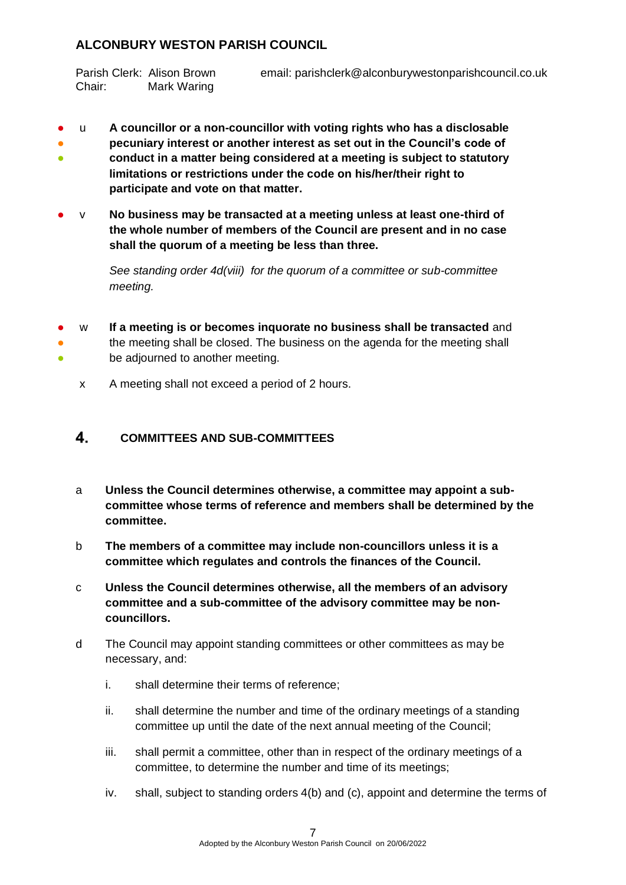Chair: Mark Waring

# Parish Clerk: Alison Brown email: parishclerk@alconburywestonparishcouncil.co.uk

- u **A councillor or a non-councillor with voting rights who has a disclosable**
- 。<br>一 ● **pecuniary interest or another interest as set out in the Council's code of conduct in a matter being considered at a meeting is subject to statutory limitations or restrictions under the code on his/her/their right to participate and vote on that matter.**
- v **No business may be transacted at a meeting unless at least one-third of the whole number of members of the Council are present and in no case shall the quorum of a meeting be less than three.**

*See standing order 4d(viii) for the quorum of a committee or sub-committee meeting.* 

- ● ● w **If a meeting is or becomes inquorate no business shall be transacted** and the meeting shall be closed. The business on the agenda for the meeting shall be adjourned to another meeting.
	- x A meeting shall not exceed a period of 2 hours.

#### <span id="page-6-0"></span> $4<sup>2</sup>$ **COMMITTEES AND SUB-COMMITTEES**

- a **Unless the Council determines otherwise, a committee may appoint a subcommittee whose terms of reference and members shall be determined by the committee.**
- b **The members of a committee may include non-councillors unless it is a committee which regulates and controls the finances of the Council.**
- c **Unless the Council determines otherwise, all the members of an advisory committee and a sub-committee of the advisory committee may be noncouncillors.**
- d The Council may appoint standing committees or other committees as may be necessary, and:
	- i. shall determine their terms of reference;
	- ii. shall determine the number and time of the ordinary meetings of a standing committee up until the date of the next annual meeting of the Council;
	- iii. shall permit a committee, other than in respect of the ordinary meetings of a committee, to determine the number and time of its meetings;
	- iv. shall, subject to standing orders 4(b) and (c), appoint and determine the terms of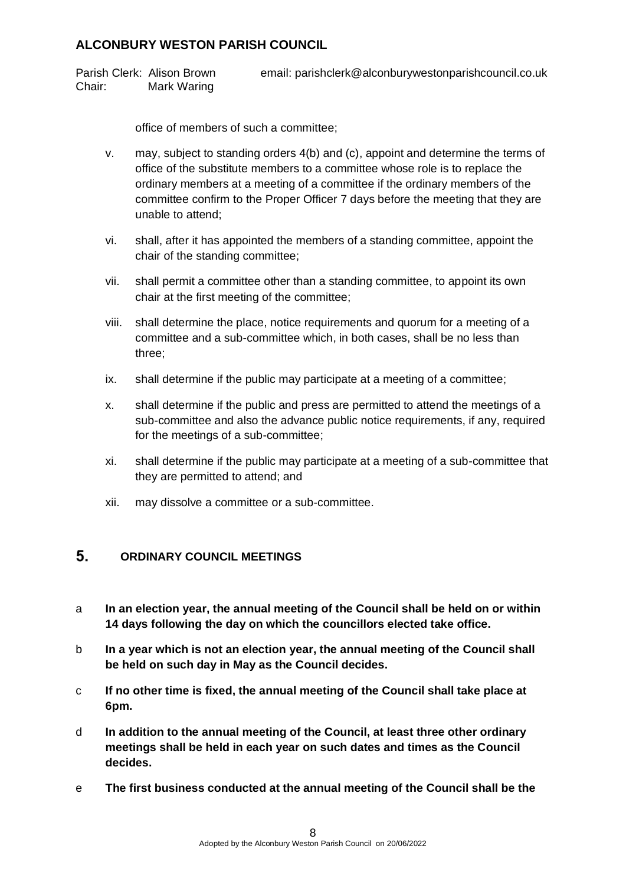Parish Clerk: Alison Brown email: parishclerk@alconburywestonparishcouncil.co.uk Chair: Mark Waring

office of members of such a committee;

- v. may, subject to standing orders 4(b) and (c), appoint and determine the terms of office of the substitute members to a committee whose role is to replace the ordinary members at a meeting of a committee if the ordinary members of the committee confirm to the Proper Officer 7 days before the meeting that they are unable to attend;
- vi. shall, after it has appointed the members of a standing committee, appoint the chair of the standing committee;
- vii. shall permit a committee other than a standing committee, to appoint its own chair at the first meeting of the committee;
- viii. shall determine the place, notice requirements and quorum for a meeting of a committee and a sub-committee which, in both cases, shall be no less than three;
- ix. shall determine if the public may participate at a meeting of a committee;
- x. shall determine if the public and press are permitted to attend the meetings of a sub-committee and also the advance public notice requirements, if any, required for the meetings of a sub-committee;
- xi. shall determine if the public may participate at a meeting of a sub-committee that they are permitted to attend; and
- xii. may dissolve a committee or a sub-committee.

#### <span id="page-7-0"></span> $5<sub>1</sub>$ **ORDINARY COUNCIL MEETINGS**

- a **In an election year, the annual meeting of the Council shall be held on or within 14 days following the day on which the councillors elected take office.**
- b **In a year which is not an election year, the annual meeting of the Council shall be held on such day in May as the Council decides.**
- c **If no other time is fixed, the annual meeting of the Council shall take place at 6pm.**
- d **In addition to the annual meeting of the Council, at least three other ordinary meetings shall be held in each year on such dates and times as the Council decides.**
- e **The first business conducted at the annual meeting of the Council shall be the**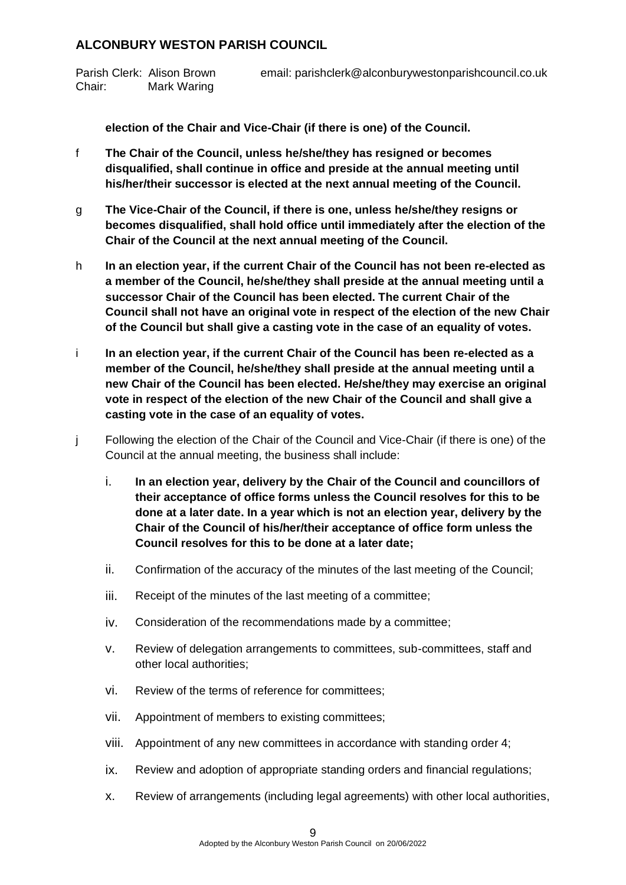Chair: Mark Waring

## Parish Clerk: Alison Brown email: parishclerk@alconburywestonparishcouncil.co.uk

**election of the Chair and Vice-Chair (if there is one) of the Council.**

- f **The Chair of the Council, unless he/she/they has resigned or becomes disqualified, shall continue in office and preside at the annual meeting until his/her/their successor is elected at the next annual meeting of the Council.**
- g **The Vice-Chair of the Council, if there is one, unless he/she/they resigns or becomes disqualified, shall hold office until immediately after the election of the Chair of the Council at the next annual meeting of the Council.**
- h **In an election year, if the current Chair of the Council has not been re-elected as a member of the Council, he/she/they shall preside at the annual meeting until a successor Chair of the Council has been elected. The current Chair of the Council shall not have an original vote in respect of the election of the new Chair of the Council but shall give a casting vote in the case of an equality of votes.**
- i **In an election year, if the current Chair of the Council has been re-elected as a member of the Council, he/she/they shall preside at the annual meeting until a new Chair of the Council has been elected. He/she/they may exercise an original vote in respect of the election of the new Chair of the Council and shall give a casting vote in the case of an equality of votes.**
- j Following the election of the Chair of the Council and Vice-Chair (if there is one) of the Council at the annual meeting, the business shall include:
	- i. **In an election year, delivery by the Chair of the Council and councillors of their acceptance of office forms unless the Council resolves for this to be done at a later date. In a year which is not an election year, delivery by the Chair of the Council of his/her/their acceptance of office form unless the Council resolves for this to be done at a later date;**
	- ii. Confirmation of the accuracy of the minutes of the last meeting of the Council;
	- iii. Receipt of the minutes of the last meeting of a committee;
	- iv. Consideration of the recommendations made by a committee;
	- v. Review of delegation arrangements to committees, sub-committees, staff and other local authorities;
	- vi. Review of the terms of reference for committees;
	- vii. Appointment of members to existing committees;
	- viii. Appointment of any new committees in accordance with standing order 4;
	- ix. Review and adoption of appropriate standing orders and financial regulations;
	- x. Review of arrangements (including legal agreements) with other local authorities,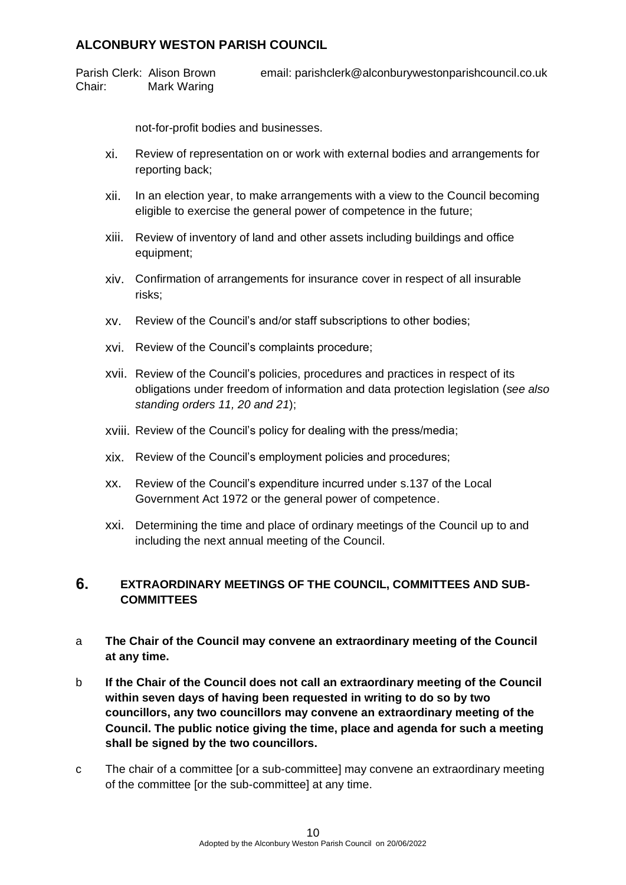Parish Clerk: Alison Brown email: parishclerk@alconburywestonparishcouncil.co.uk Chair: Mark Waring

not-for-profit bodies and businesses.

- xi. Review of representation on or work with external bodies and arrangements for reporting back;
- xii. In an election year, to make arrangements with a view to the Council becoming eligible to exercise the general power of competence in the future;
- xiii. Review of inventory of land and other assets including buildings and office equipment;
- xiv. Confirmation of arrangements for insurance cover in respect of all insurable risks;
- xv. Review of the Council's and/or staff subscriptions to other bodies;
- xvi. Review of the Council's complaints procedure;
- xvii. Review of the Council's policies, procedures and practices in respect of its obligations under freedom of information and data protection legislation (*see also standing orders 11, 20 and 21*);
- xviii. Review of the Council's policy for dealing with the press/media;
- xix. Review of the Council's employment policies and procedures;
- xx. Review of the Council's expenditure incurred under s.137 of the Local Government Act 1972 or the general power of competence.
- xxi. Determining the time and place of ordinary meetings of the Council up to and including the next annual meeting of the Council.

### <span id="page-9-0"></span>6. **EXTRAORDINARY MEETINGS OF THE COUNCIL, COMMITTEES AND SUB-COMMITTEES**

- a **The Chair of the Council may convene an extraordinary meeting of the Council at any time.**
- b **If the Chair of the Council does not call an extraordinary meeting of the Council within seven days of having been requested in writing to do so by two councillors, any two councillors may convene an extraordinary meeting of the Council. The public notice giving the time, place and agenda for such a meeting shall be signed by the two councillors.**
- c The chair of a committee [or a sub-committee] may convene an extraordinary meeting of the committee [or the sub-committee] at any time.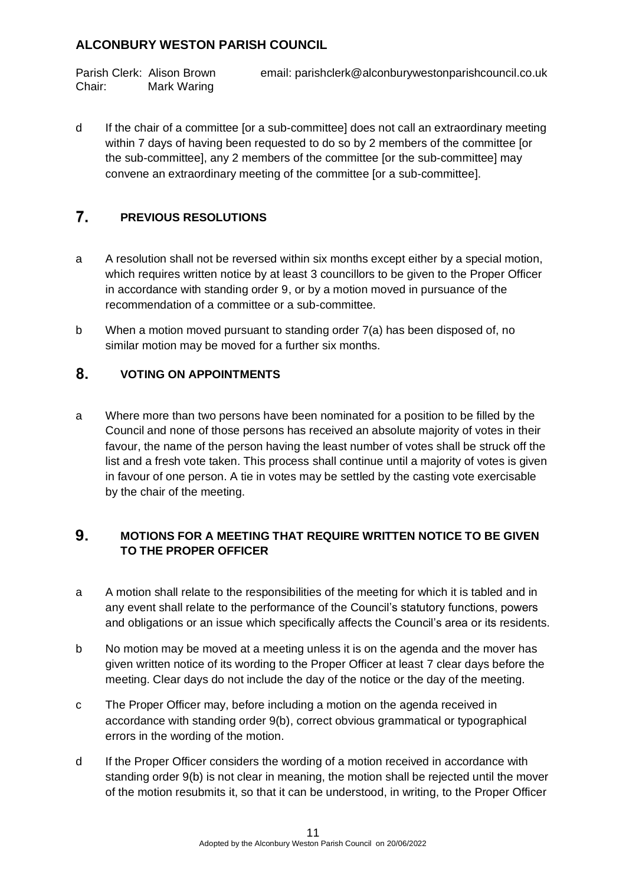Chair: Mark Waring

Parish Clerk: Alison Brown email: parishclerk@alconburywestonparishcouncil.co.uk

d If the chair of a committee [or a sub-committee] does not call an extraordinary meeting within 7 days of having been requested to do so by 2 members of the committee [or the sub-committee], any 2 members of the committee [or the sub-committee] may convene an extraordinary meeting of the committee [or a sub-committee].

#### <span id="page-10-0"></span> $\overline{7}$ . **PREVIOUS RESOLUTIONS**

- a A resolution shall not be reversed within six months except either by a special motion, which requires written notice by at least 3 councillors to be given to the Proper Officer in accordance with standing order 9, or by a motion moved in pursuance of the recommendation of a committee or a sub-committee.
- b When a motion moved pursuant to standing order 7(a) has been disposed of, no similar motion may be moved for a further six months.

#### <span id="page-10-1"></span>8. **VOTING ON APPOINTMENTS**

a Where more than two persons have been nominated for a position to be filled by the Council and none of those persons has received an absolute majority of votes in their favour, the name of the person having the least number of votes shall be struck off the list and a fresh vote taken. This process shall continue until a majority of votes is given in favour of one person. A tie in votes may be settled by the casting vote exercisable by the chair of the meeting.

### <span id="page-10-2"></span>9. **MOTIONS FOR A MEETING THAT REQUIRE WRITTEN NOTICE TO BE GIVEN TO THE PROPER OFFICER**

- a A motion shall relate to the responsibilities of the meeting for which it is tabled and in any event shall relate to the performance of the Council's statutory functions, powers and obligations or an issue which specifically affects the Council's area or its residents.
- b No motion may be moved at a meeting unless it is on the agenda and the mover has given written notice of its wording to the Proper Officer at least 7 clear days before the meeting. Clear days do not include the day of the notice or the day of the meeting.
- c The Proper Officer may, before including a motion on the agenda received in accordance with standing order 9(b), correct obvious grammatical or typographical errors in the wording of the motion.
- d If the Proper Officer considers the wording of a motion received in accordance with standing order 9(b) is not clear in meaning, the motion shall be rejected until the mover of the motion resubmits it, so that it can be understood, in writing, to the Proper Officer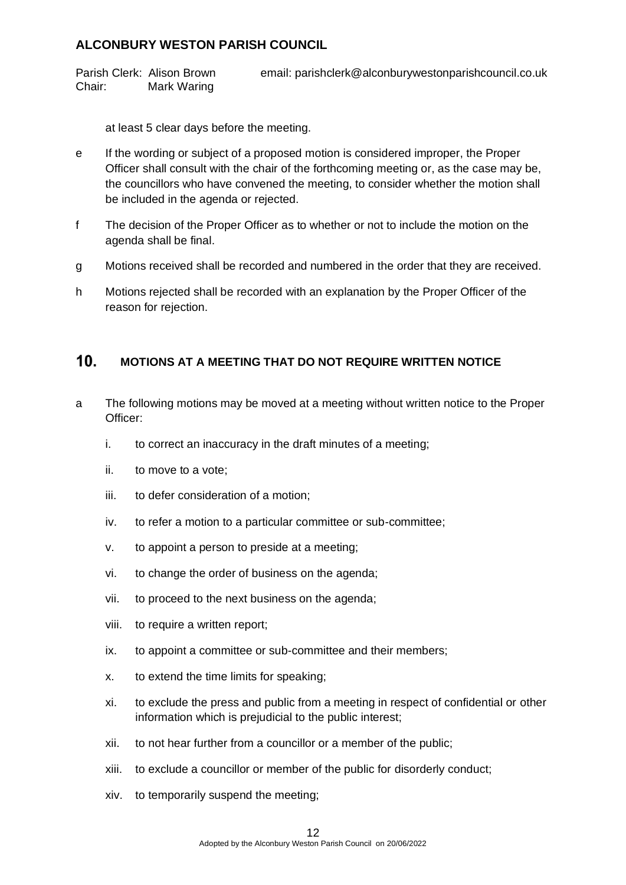Parish Clerk: Alison Brown email: parishclerk@alconburywestonparishcouncil.co.uk Chair: Mark Waring

at least 5 clear days before the meeting.

- e If the wording or subject of a proposed motion is considered improper, the Proper Officer shall consult with the chair of the forthcoming meeting or, as the case may be, the councillors who have convened the meeting, to consider whether the motion shall be included in the agenda or rejected.
- f The decision of the Proper Officer as to whether or not to include the motion on the agenda shall be final.
- g Motions received shall be recorded and numbered in the order that they are received.
- h Motions rejected shall be recorded with an explanation by the Proper Officer of the reason for rejection.

#### <span id="page-11-0"></span> $10<sub>1</sub>$ **MOTIONS AT A MEETING THAT DO NOT REQUIRE WRITTEN NOTICE**

- a The following motions may be moved at a meeting without written notice to the Proper Officer:
	- i. to correct an inaccuracy in the draft minutes of a meeting;
	- ii. to move to a vote;
	- iii. to defer consideration of a motion;
	- iv. to refer a motion to a particular committee or sub-committee;
	- v. to appoint a person to preside at a meeting;
	- vi. to change the order of business on the agenda;
	- vii. to proceed to the next business on the agenda;
	- viii. to require a written report;
	- ix. to appoint a committee or sub-committee and their members;
	- x. to extend the time limits for speaking;
	- xi. to exclude the press and public from a meeting in respect of confidential or other information which is prejudicial to the public interest;
	- xii. to not hear further from a councillor or a member of the public;
	- xiii. to exclude a councillor or member of the public for disorderly conduct;
	- xiv. to temporarily suspend the meeting;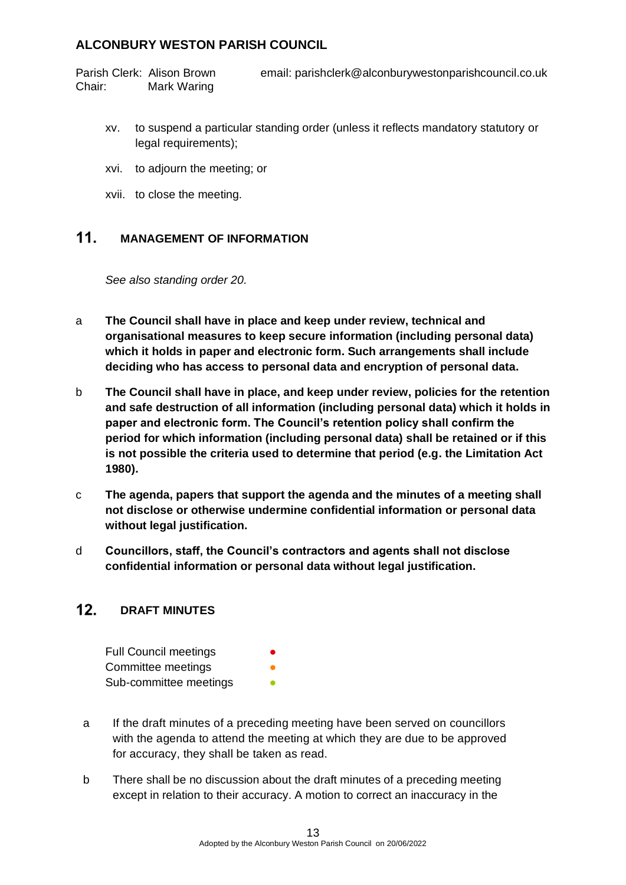Parish Clerk: Alison Brown email: parishclerk@alconburywestonparishcouncil.co.uk Chair: Mark Waring

- xv. to suspend a particular standing order (unless it reflects mandatory statutory or legal requirements);
- xvi. to adjourn the meeting; or
- xvii. to close the meeting.

#### <span id="page-12-0"></span> $11<sub>1</sub>$ **MANAGEMENT OF INFORMATION**

*See also standing order 20.*

- a **The Council shall have in place and keep under review, technical and organisational measures to keep secure information (including personal data) which it holds in paper and electronic form. Such arrangements shall include deciding who has access to personal data and encryption of personal data.**
- b **The Council shall have in place, and keep under review, policies for the retention and safe destruction of all information (including personal data) which it holds in paper and electronic form. The Council's retention policy shall confirm the period for which information (including personal data) shall be retained or if this is not possible the criteria used to determine that period (e.g. the Limitation Act 1980).**
- c **The agenda, papers that support the agenda and the minutes of a meeting shall not disclose or otherwise undermine confidential information or personal data without legal justification.**
- d **Councillors, staff, the Council's contractors and agents shall not disclose confidential information or personal data without legal justification.**

#### <span id="page-12-1"></span> $12.$ **DRAFT MINUTES**

| <b>Full Council meetings</b> | $\bullet$ |
|------------------------------|-----------|
| Committee meetings           | ●         |
| Sub-committee meetings       |           |

- a If the draft minutes of a preceding meeting have been served on councillors with the agenda to attend the meeting at which they are due to be approved for accuracy, they shall be taken as read.
- b There shall be no discussion about the draft minutes of a preceding meeting except in relation to their accuracy. A motion to correct an inaccuracy in the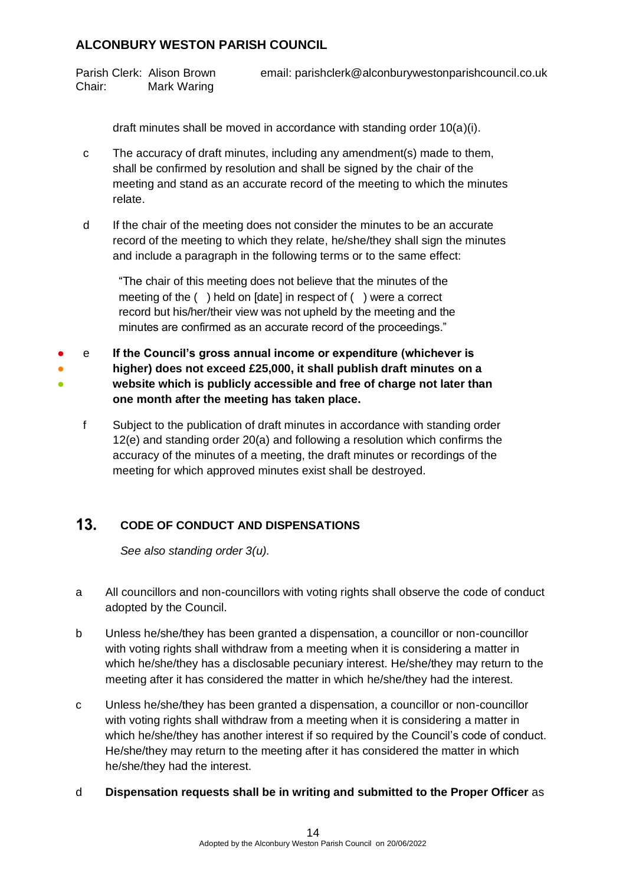Chair: Mark Waring

Parish Clerk: Alison Brown email: parishclerk@alconburywestonparishcouncil.co.uk

draft minutes shall be moved in accordance with standing order 10(a)(i).

- c The accuracy of draft minutes, including any amendment(s) made to them, shall be confirmed by resolution and shall be signed by the chair of the meeting and stand as an accurate record of the meeting to which the minutes relate.
- d If the chair of the meeting does not consider the minutes to be an accurate record of the meeting to which they relate, he/she/they shall sign the minutes and include a paragraph in the following terms or to the same effect:

"The chair of this meeting does not believe that the minutes of the meeting of the ( ) held on [date] in respect of ( ) were a correct record but his/her/their view was not upheld by the meeting and the minutes are confirmed as an accurate record of the proceedings."

● ● ● e **If the Council's gross annual income or expenditure (whichever is higher) does not exceed £25,000, it shall publish draft minutes on a website which is publicly accessible and free of charge not later than one month after the meeting has taken place.**

f Subject to the publication of draft minutes in accordance with standing order 12(e) and standing order 20(a) and following a resolution which confirms the accuracy of the minutes of a meeting, the draft minutes or recordings of the meeting for which approved minutes exist shall be destroyed.

#### <span id="page-13-0"></span> $13<sub>1</sub>$ **CODE OF CONDUCT AND DISPENSATIONS**

*See also standing order 3(u).*

- a All councillors and non-councillors with voting rights shall observe the code of conduct adopted by the Council.
- b Unless he/she/they has been granted a dispensation, a councillor or non-councillor with voting rights shall withdraw from a meeting when it is considering a matter in which he/she/they has a disclosable pecuniary interest. He/she/they may return to the meeting after it has considered the matter in which he/she/they had the interest.
- c Unless he/she/they has been granted a dispensation, a councillor or non-councillor with voting rights shall withdraw from a meeting when it is considering a matter in which he/she/they has another interest if so required by the Council's code of conduct. He/she/they may return to the meeting after it has considered the matter in which he/she/they had the interest.
- d **Dispensation requests shall be in writing and submitted to the Proper Officer** as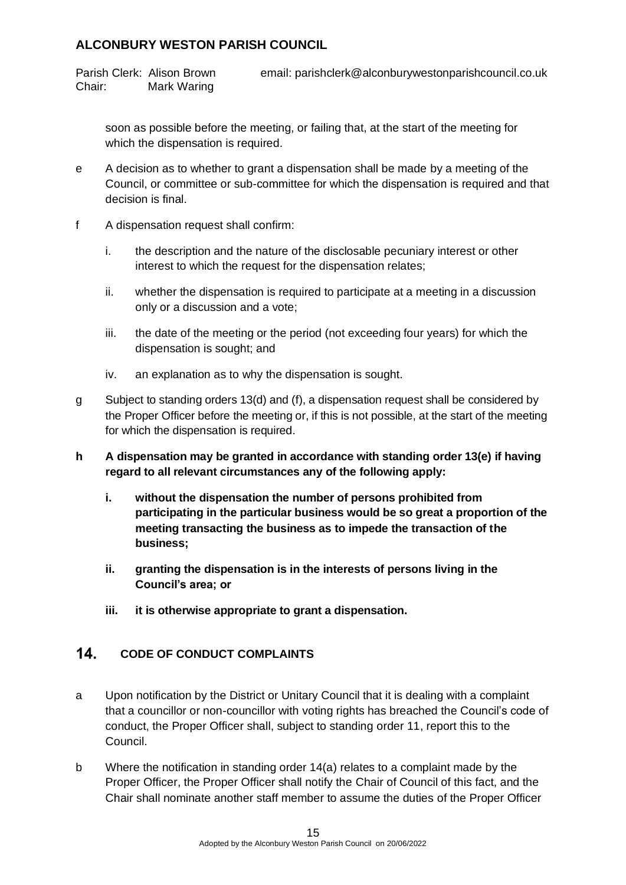Parish Clerk: Alison Brown email: parishclerk@alconburywestonparishcouncil.co.uk Chair: Mark Waring

soon as possible before the meeting, or failing that, at the start of the meeting for which the dispensation is required.

- e A decision as to whether to grant a dispensation shall be made by a meeting of the Council, or committee or sub-committee for which the dispensation is required and that decision is final.
- f A dispensation request shall confirm:
	- i. the description and the nature of the disclosable pecuniary interest or other interest to which the request for the dispensation relates;
	- ii. whether the dispensation is required to participate at a meeting in a discussion only or a discussion and a vote;
	- iii. the date of the meeting or the period (not exceeding four years) for which the dispensation is sought; and
	- iv. an explanation as to why the dispensation is sought.
- g Subject to standing orders 13(d) and (f), a dispensation request shall be considered by the Proper Officer before the meeting or, if this is not possible, at the start of the meeting for which the dispensation is required.
- **h A dispensation may be granted in accordance with standing order 13(e) if having regard to all relevant circumstances any of the following apply:**
	- **i. without the dispensation the number of persons prohibited from participating in the particular business would be so great a proportion of the meeting transacting the business as to impede the transaction of the business;**
	- **ii. granting the dispensation is in the interests of persons living in the Council's area; or**
	- **iii. it is otherwise appropriate to grant a dispensation.**

#### <span id="page-14-0"></span> $14$ **CODE OF CONDUCT COMPLAINTS**

- a Upon notification by the District or Unitary Council that it is dealing with a complaint that a councillor or non-councillor with voting rights has breached the Council's code of conduct, the Proper Officer shall, subject to standing order 11, report this to the Council.
- b Where the notification in standing order 14(a) relates to a complaint made by the Proper Officer, the Proper Officer shall notify the Chair of Council of this fact, and the Chair shall nominate another staff member to assume the duties of the Proper Officer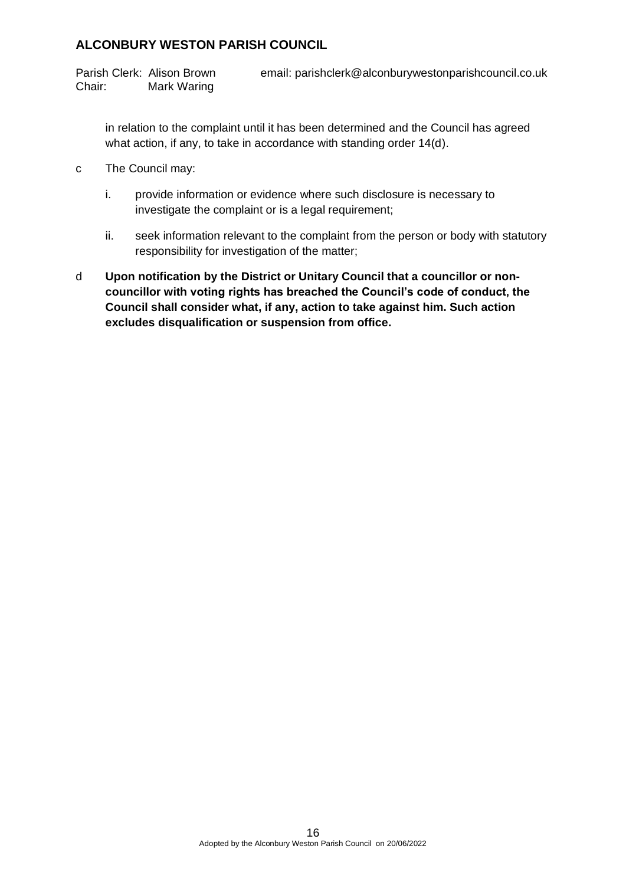Parish Clerk: Alison Brown email: parishclerk@alconburywestonparishcouncil.co.uk Chair: Mark Waring

in relation to the complaint until it has been determined and the Council has agreed what action, if any, to take in accordance with standing order 14(d).

- c The Council may:
	- i. provide information or evidence where such disclosure is necessary to investigate the complaint or is a legal requirement;
	- ii. seek information relevant to the complaint from the person or body with statutory responsibility for investigation of the matter;
- <span id="page-15-0"></span>d **Upon notification by the District or Unitary Council that a councillor or noncouncillor with voting rights has breached the Council's code of conduct, the Council shall consider what, if any, action to take against him. Such action excludes disqualification or suspension from office.**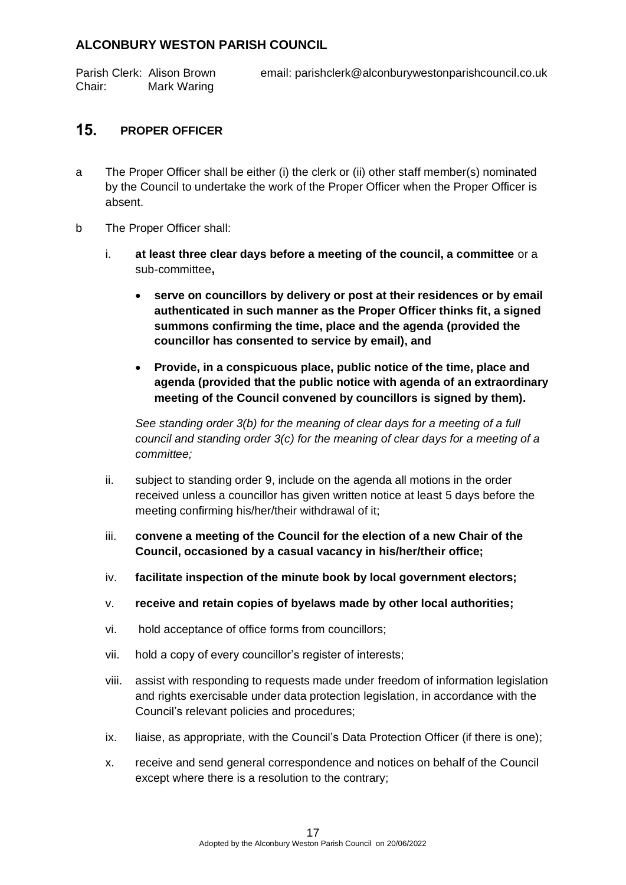Parish Clerk: Alison Brown email: parishclerk@alconburywestonparishcouncil.co.uk Chair: Mark Waring

#### $15.$ **PROPER OFFICER**

- a The Proper Officer shall be either (i) the clerk or (ii) other staff member(s) nominated by the Council to undertake the work of the Proper Officer when the Proper Officer is absent.
- b The Proper Officer shall:
	- i. **at least three clear days before a meeting of the council, a committee** or a sub-committee**,**
		- **serve on councillors by delivery or post at their residences or by email authenticated in such manner as the Proper Officer thinks fit, a signed summons confirming the time, place and the agenda (provided the councillor has consented to service by email), and**
		- **Provide, in a conspicuous place, public notice of the time, place and agenda (provided that the public notice with agenda of an extraordinary meeting of the Council convened by councillors is signed by them).**

*See standing order 3(b) for the meaning of clear days for a meeting of a full council and standing order 3(c) for the meaning of clear days for a meeting of a committee;*

- ii. subject to standing order 9, include on the agenda all motions in the order received unless a councillor has given written notice at least 5 days before the meeting confirming his/her/their withdrawal of it;
- iii. **convene a meeting of the Council for the election of a new Chair of the Council, occasioned by a casual vacancy in his/her/their office;**
- iv. **facilitate inspection of the minute book by local government electors;**
- v. **receive and retain copies of byelaws made by other local authorities;**
- vi. hold acceptance of office forms from councillors;
- vii. hold a copy of every councillor's register of interests;
- viii. assist with responding to requests made under freedom of information legislation and rights exercisable under data protection legislation, in accordance with the Council's relevant policies and procedures;
- ix. liaise, as appropriate, with the Council's Data Protection Officer (if there is one);
- x. receive and send general correspondence and notices on behalf of the Council except where there is a resolution to the contrary;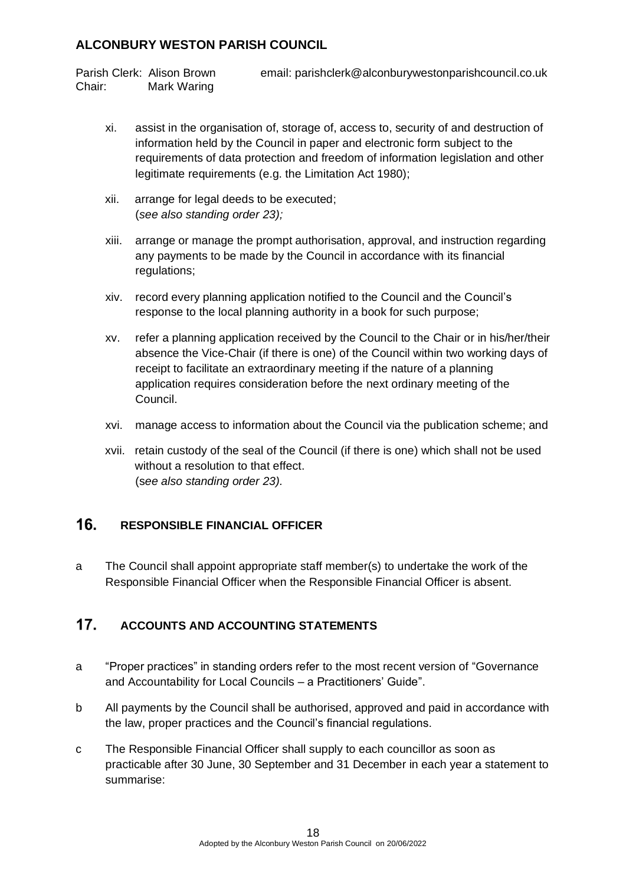Parish Clerk: Alison Brown email: parishclerk@alconburywestonparishcouncil.co.uk Chair: Mark Waring

- xi. assist in the organisation of, storage of, access to, security of and destruction of information held by the Council in paper and electronic form subject to the requirements of data protection and freedom of information legislation and other legitimate requirements (e.g. the Limitation Act 1980);
- xii. arrange for legal deeds to be executed; (*see also standing order 23);*
- xiii. arrange or manage the prompt authorisation, approval, and instruction regarding any payments to be made by the Council in accordance with its financial regulations;
- xiv. record every planning application notified to the Council and the Council's response to the local planning authority in a book for such purpose;
- xv. refer a planning application received by the Council to the Chair or in his/her/their absence the Vice-Chair (if there is one) of the Council within two working days of receipt to facilitate an extraordinary meeting if the nature of a planning application requires consideration before the next ordinary meeting of the Council.
- xvi. manage access to information about the Council via the publication scheme; and
- xvii. retain custody of the seal of the Council (if there is one) which shall not be used without a resolution to that effect. (s*ee also standing order 23).*

#### <span id="page-17-0"></span> $16.$ **RESPONSIBLE FINANCIAL OFFICER**

a The Council shall appoint appropriate staff member(s) to undertake the work of the Responsible Financial Officer when the Responsible Financial Officer is absent.

#### <span id="page-17-1"></span> $17.$ **ACCOUNTS AND ACCOUNTING STATEMENTS**

- a "Proper practices" in standing orders refer to the most recent version of "Governance and Accountability for Local Councils – a Practitioners' Guide".
- b All payments by the Council shall be authorised, approved and paid in accordance with the law, proper practices and the Council's financial regulations.
- c The Responsible Financial Officer shall supply to each councillor as soon as practicable after 30 June, 30 September and 31 December in each year a statement to summarise: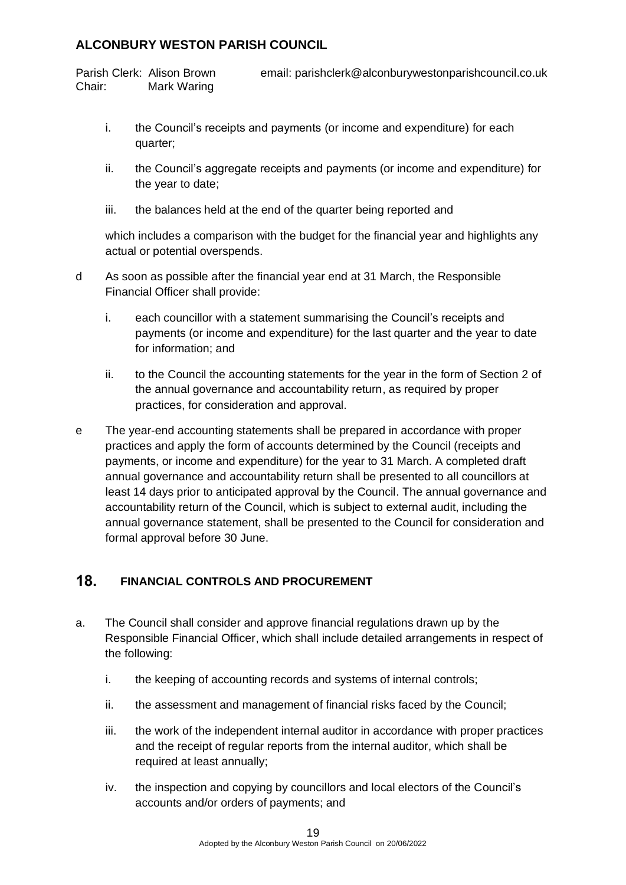Parish Clerk: Alison Brown email: parishclerk@alconburywestonparishcouncil.co.uk Chair: Mark Waring

- i. the Council's receipts and payments (or income and expenditure) for each quarter;
- ii. the Council's aggregate receipts and payments (or income and expenditure) for the year to date;
- iii. the balances held at the end of the quarter being reported and

which includes a comparison with the budget for the financial year and highlights any actual or potential overspends.

- d As soon as possible after the financial year end at 31 March, the Responsible Financial Officer shall provide:
	- i. each councillor with a statement summarising the Council's receipts and payments (or income and expenditure) for the last quarter and the year to date for information; and
	- ii. to the Council the accounting statements for the year in the form of Section 2 of the annual governance and accountability return, as required by proper practices, for consideration and approval.
- e The year-end accounting statements shall be prepared in accordance with proper practices and apply the form of accounts determined by the Council (receipts and payments, or income and expenditure) for the year to 31 March. A completed draft annual governance and accountability return shall be presented to all councillors at least 14 days prior to anticipated approval by the Council. The annual governance and accountability return of the Council, which is subject to external audit, including the annual governance statement, shall be presented to the Council for consideration and formal approval before 30 June.

#### <span id="page-18-0"></span> $18.$ **FINANCIAL CONTROLS AND PROCUREMENT**

- a. The Council shall consider and approve financial regulations drawn up by the Responsible Financial Officer, which shall include detailed arrangements in respect of the following:
	- i. the keeping of accounting records and systems of internal controls;
	- ii. the assessment and management of financial risks faced by the Council;
	- iii. the work of the independent internal auditor in accordance with proper practices and the receipt of regular reports from the internal auditor, which shall be required at least annually;
	- iv. the inspection and copying by councillors and local electors of the Council's accounts and/or orders of payments; and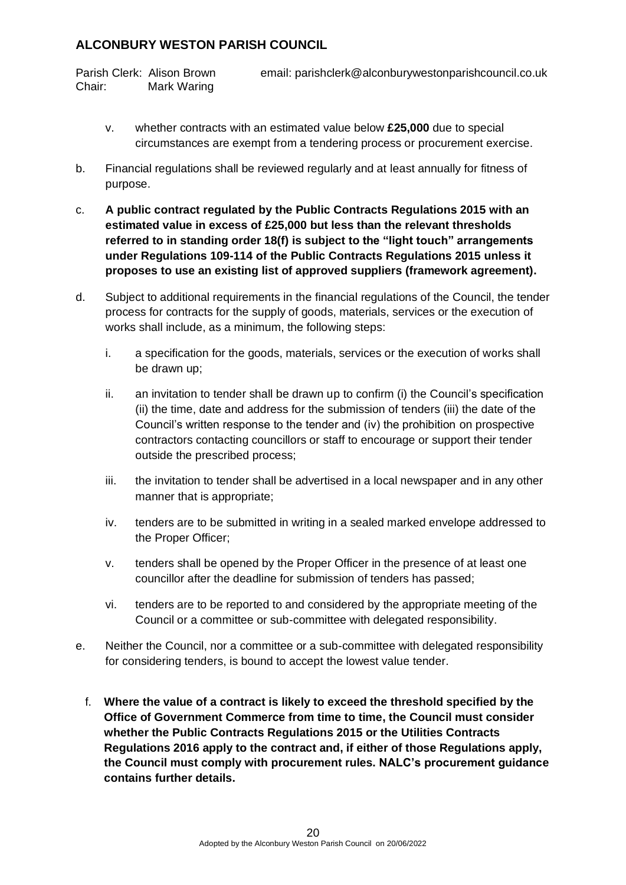Chair: Mark Waring

Parish Clerk: Alison Brown email: parishclerk@alconburywestonparishcouncil.co.uk

- v. whether contracts with an estimated value below **£25,000** due to special circumstances are exempt from a tendering process or procurement exercise.
- b. Financial regulations shall be reviewed regularly and at least annually for fitness of purpose.
- c. **A public contract regulated by the Public Contracts Regulations 2015 with an estimated value in excess of £25,000 but less than the relevant thresholds referred to in standing order 18(f) is subject to the "light touch" arrangements under Regulations 109-114 of the Public Contracts Regulations 2015 unless it proposes to use an existing list of approved suppliers (framework agreement).**
- d. Subject to additional requirements in the financial regulations of the Council, the tender process for contracts for the supply of goods, materials, services or the execution of works shall include, as a minimum, the following steps:
	- i. a specification for the goods, materials, services or the execution of works shall be drawn up;
	- ii. an invitation to tender shall be drawn up to confirm (i) the Council's specification (ii) the time, date and address for the submission of tenders (iii) the date of the Council's written response to the tender and (iv) the prohibition on prospective contractors contacting councillors or staff to encourage or support their tender outside the prescribed process;
	- iii. the invitation to tender shall be advertised in a local newspaper and in any other manner that is appropriate;
	- iv. tenders are to be submitted in writing in a sealed marked envelope addressed to the Proper Officer;
	- v. tenders shall be opened by the Proper Officer in the presence of at least one councillor after the deadline for submission of tenders has passed;
	- vi. tenders are to be reported to and considered by the appropriate meeting of the Council or a committee or sub-committee with delegated responsibility.
- e. Neither the Council, nor a committee or a sub-committee with delegated responsibility for considering tenders, is bound to accept the lowest value tender.
	- f. **Where the value of a contract is likely to exceed the threshold specified by the Office of Government Commerce from time to time, the Council must consider whether the Public Contracts Regulations 2015 or the Utilities Contracts Regulations 2016 apply to the contract and, if either of those Regulations apply, the Council must comply with procurement rules. NALC's procurement guidance contains further details.**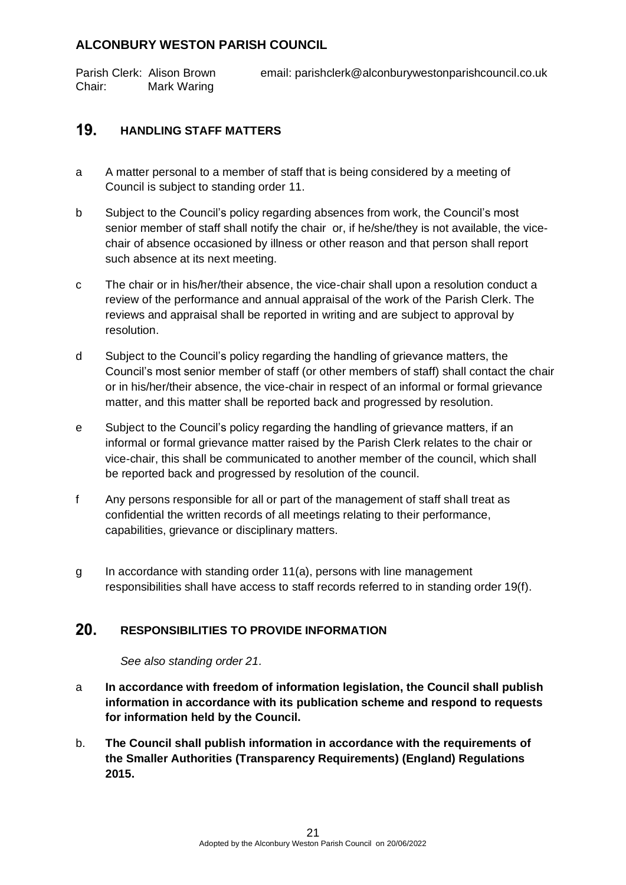| Parish Clerk: Alison Brown | email: parishclerk@alconburywestonparishcouncil.co.uk |  |
|----------------------------|-------------------------------------------------------|--|
| Chair:                     | Mark Waring                                           |  |

#### <span id="page-20-0"></span> $19.$ **HANDLING STAFF MATTERS**

- a A matter personal to a member of staff that is being considered by a meeting of Council is subject to standing order 11.
- b Subject to the Council's policy regarding absences from work, the Council's most senior member of staff shall notify the chair or, if he/she/they is not available, the vicechair of absence occasioned by illness or other reason and that person shall report such absence at its next meeting.
- c The chair or in his/her/their absence, the vice-chair shall upon a resolution conduct a review of the performance and annual appraisal of the work of the Parish Clerk. The reviews and appraisal shall be reported in writing and are subject to approval by resolution.
- d Subject to the Council's policy regarding the handling of grievance matters, the Council's most senior member of staff (or other members of staff) shall contact the chair or in his/her/their absence, the vice-chair in respect of an informal or formal grievance matter, and this matter shall be reported back and progressed by resolution.
- e Subject to the Council's policy regarding the handling of grievance matters, if an informal or formal grievance matter raised by the Parish Clerk relates to the chair or vice-chair, this shall be communicated to another member of the council, which shall be reported back and progressed by resolution of the council.
- f Any persons responsible for all or part of the management of staff shall treat as confidential the written records of all meetings relating to their performance, capabilities, grievance or disciplinary matters.
- g In accordance with standing order 11(a), persons with line management responsibilities shall have access to staff records referred to in standing order 19(f).

#### <span id="page-20-1"></span> $20<sub>1</sub>$ **RESPONSIBILITIES TO PROVIDE INFORMATION**

*See also standing order 21.*

- a **In accordance with freedom of information legislation, the Council shall publish information in accordance with its publication scheme and respond to requests for information held by the Council.**
- b. **The Council shall publish information in accordance with the requirements of the Smaller Authorities (Transparency Requirements) (England) Regulations 2015.**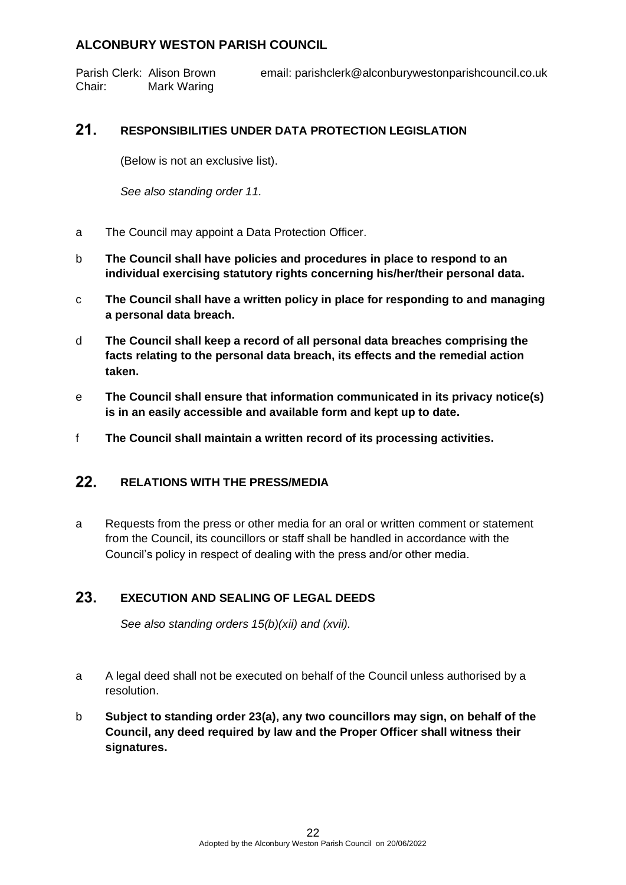Parish Clerk: Alison Brown email: parishclerk@alconburywestonparishcouncil.co.uk Chair: Mark Waring

#### <span id="page-21-0"></span> $21.$ **RESPONSIBILITIES UNDER DATA PROTECTION LEGISLATION**

(Below is not an exclusive list).

*See also standing order 11.*

- a The Council may appoint a Data Protection Officer.
- b **The Council shall have policies and procedures in place to respond to an individual exercising statutory rights concerning his/her/their personal data.**
- c **The Council shall have a written policy in place for responding to and managing a personal data breach.**
- d **The Council shall keep a record of all personal data breaches comprising the facts relating to the personal data breach, its effects and the remedial action taken.**
- e **The Council shall ensure that information communicated in its privacy notice(s) is in an easily accessible and available form and kept up to date.**
- f **The Council shall maintain a written record of its processing activities.**

#### <span id="page-21-1"></span> $22.$ **RELATIONS WITH THE PRESS/MEDIA**

a Requests from the press or other media for an oral or written comment or statement from the Council, its councillors or staff shall be handled in accordance with the Council's policy in respect of dealing with the press and/or other media.

#### <span id="page-21-2"></span>23. **EXECUTION AND SEALING OF LEGAL DEEDS**

*See also standing orders 15(b)(xii) and (xvii).*

- a A legal deed shall not be executed on behalf of the Council unless authorised by a resolution.
- b **Subject to standing order 23(a), any two councillors may sign, on behalf of the Council, any deed required by law and the Proper Officer shall witness their signatures.**